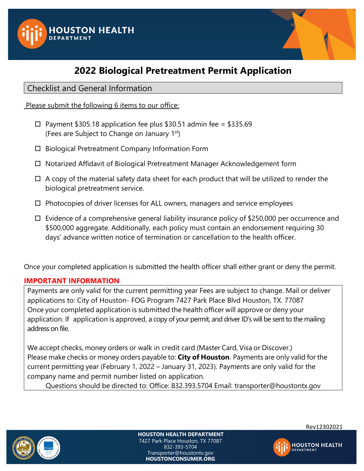



# **2022 Biological Pretreatment Permit Application**

## Checklist and General Information

Please submit the following 6 items to our office:

- $\Box$  Payment \$305.18 application fee plus \$30.51 admin fee = \$335.69 (Fees are Subject to Change on January 1st)
- $\Box$  Biological Pretreatment Company Information Form
- □ Notarized Affidavit of Biological Pretreatment Manager Acknowledgement form
- $\Box$  A copy of the material safety data sheet for each product that will be utilized to render the biological pretreatment service.
- $\Box$  Photocopies of driver licenses for ALL owners, managers and service employees
- $\Box$  Evidence of a comprehensive general liability insurance policy of \$250,000 per occurrence and \$500,000 aggregate. Additionally, each policy must contain an endorsement requiring 30 days' advance written notice of termination or cancellation to the health officer.

Once your completed application is submitted the health officer shall either grant or deny the permit.

### **IMPORTANT INFORMATION**

Payments are only valid for the current permitting year Fees are subject to change. Mail or deliver applications to: City of Houston- FOG Program 7427 Park Place Blvd Houston, TX. 77087 Once your completed application is submitted the health officer will approve or deny your application. If application is approved, a copy of your permit, and driver ID's will be sent to the mailing address on file.

We accept checks, money orders or walk in credit card (Master Card, Visa or Discover.) Please make checks or money orders payable to: **City of Houston**. Payments are only valid for the current permitting year (February 1, 2022 – January 31, 2023). Payments are only valid for the company name and permit number listed on application.

Questions should be directed to: Office: 832.393.5704 Email: transporter@houstontx.gov



**HOUSTON HEALTH DEPARTMENT** 7427 Park Place Houston, TX 77087 832-393-5704 Transporter@houstontx.gov **HOUSTONCONSUMER.ORG**



Rev12302021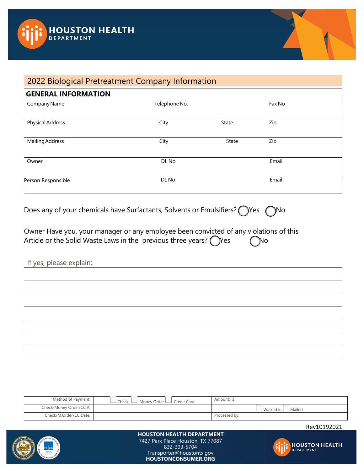



# 2022 Biological Pretreatment Company Information

| <b>GENERAL INFORMATION</b> |               |       |        |  |
|----------------------------|---------------|-------|--------|--|
| Company Name               | Telephone No. |       | Fax No |  |
| Physical Address           | City          | State | Zip    |  |
| Mailing Address            | City          | State | Zip    |  |
| Owner                      | DL No         |       | Email  |  |
| Person Responsible         | DL No         |       | Email  |  |

Does any of your chemicals have Surfactants, Solvents or Emulsifiers? ◯ Yes ◯ No

| Owner Have you, your manager or any employee been convicted of any violations of this |  |                     |  |
|---------------------------------------------------------------------------------------|--|---------------------|--|
| Article or the Solid Waste Laws in the previous three years? $\bigcap$ Yes            |  | $\bigcap$ $\bigcap$ |  |

|  |  | If yes, please explain: |
|--|--|-------------------------|
|--|--|-------------------------|

| Method of Payment:      | Money Order Lull Credit Card<br>⊿ Check ∣ | Amount: 9                      |
|-------------------------|-------------------------------------------|--------------------------------|
| Check/Money Order/CC #: |                                           | $\cup$ Walked in $\Box$ Mailed |
| Check/M.Order/CC Date:  |                                           | Processed by:                  |

Rev10192021



#### **HOUSTON HEALTH DEPARTMENT** 7427 Park Place Houston, TX 77087 832-393-5704 Transporter@houstontx.gov **HOUSTONCONSUMER.ORG**

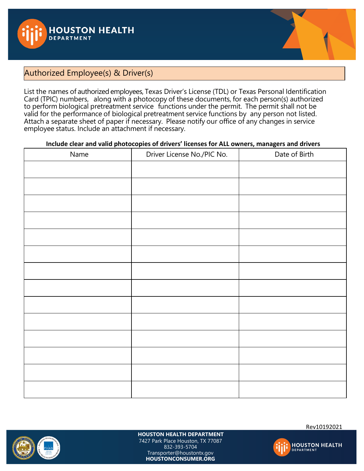



## Authorized Employee(s) & Driver(s)

List the names of authorized employees, Texas Driver's License (TDL) or Texas Personal Identification Card (TPIC) numbers, along with a photocopy of these documents, for each person(s) authorized to perform biological pretreatment service functions under the permit. The permit shall not be valid for the performance of biological pretreatment service functions by any person not listed. Attach a separate sheet of paper if necessary. Please notify our office of any changes in service employee status. Include an attachment if necessary.

### **Include clear and valid photocopies of drivers' licenses for ALL owners, managers and drivers**

| Name | Driver License No./PIC No. | Date of Birth |
|------|----------------------------|---------------|
|      |                            |               |
|      |                            |               |
|      |                            |               |
|      |                            |               |
|      |                            |               |
|      |                            |               |
|      |                            |               |
|      |                            |               |
|      |                            |               |
|      |                            |               |
|      |                            |               |
|      |                            |               |
|      |                            |               |
|      |                            |               |



**HOUSTON HEALTH DEPARTMENT** 7427 Park Place Houston, TX 77087 832-393-5704 Transporter@houstontx.gov **HOUSTONCONSUMER.ORG**

Rev10192021